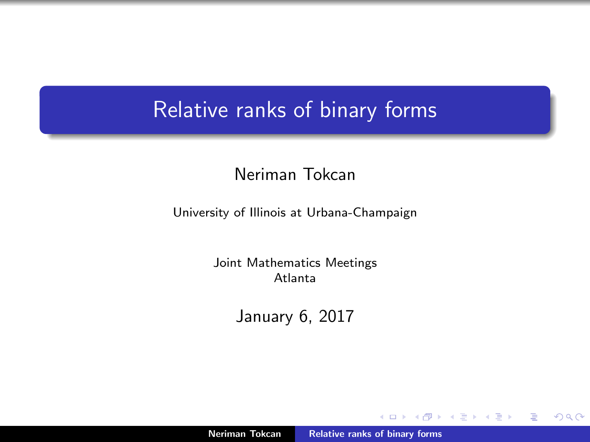## Relative ranks of binary forms

## Neriman Tokcan

University of Illinois at Urbana-Champaign

Joint Mathematics Meetings Atlanta

January 6, 2017

Neriman Tokcan [Relative ranks of binary forms](#page-15-0)

**K ロ ▶ K 倒 ▶** 

 $2Q$ 

<span id="page-0-0"></span>≣

重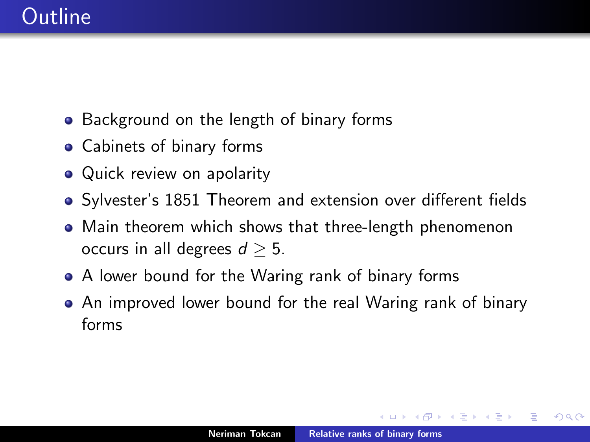# **Outline**

- Background on the length of binary forms
- Cabinets of binary forms
- Quick review on apolarity
- Sylvester's 1851 Theorem and extension over different fields
- Main theorem which shows that three-length phenomenon occurs in all degrees  $d > 5$ .
- A lower bound for the Waring rank of binary forms
- An improved lower bound for the real Waring rank of binary forms

つくい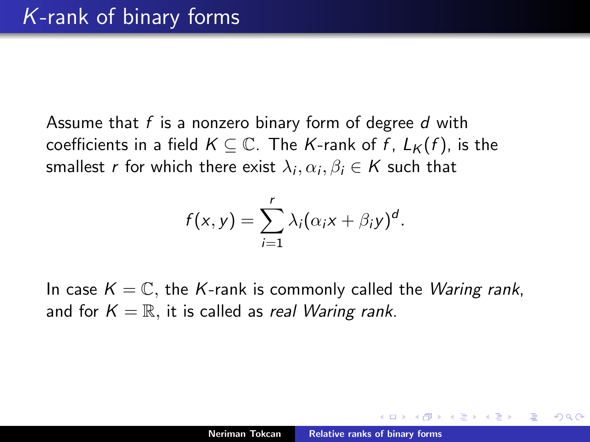Assume that *f* is a nonzero binary form of degree *d* with coefficients in a field  $K \subseteq \mathbb{C}$ . The *K*-rank of *f*,  $L_K(f)$ , is the smallest *r* for which there exist  $\lambda_i, \alpha_i, \beta_i \in K$  such that

$$
f(x,y)=\sum_{i=1}^r\lambda_i(\alpha_ix+\beta_iy)^d.
$$

In case  $K = \mathbb{C}$ , the K-rank is commonly called the *Waring rank*, and for  $K = \mathbb{R}$ , it is called as *real Waring rank*.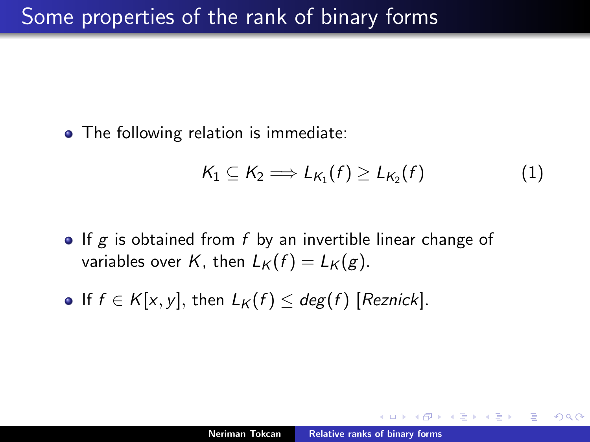• The following relation is immediate:

$$
K_1 \subseteq K_2 \Longrightarrow L_{K_1}(f) \geq L_{K_2}(f) \tag{1}
$$

- If *g* is obtained from *f* by an invertible linear change of variables over *K*, then  $L_K(f) = L_K(g)$ .
- $\bullet$  If  $f \in K[x, y]$ , then  $L_K(f) \leq deg(f)$  [Reznick].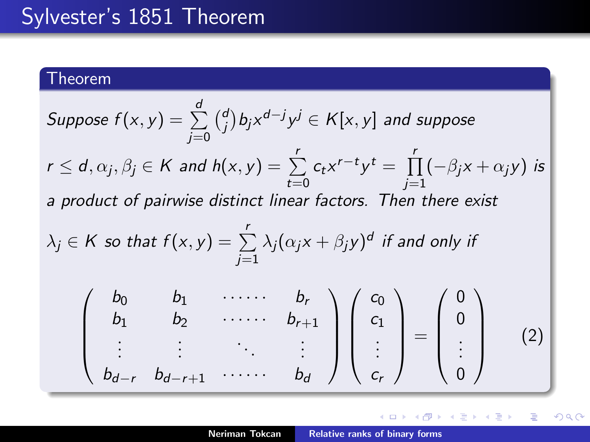# Sylvester's 1851 Theorem

## Theorem

Suppose 
$$
f(x, y) = \sum_{j=0}^{d} {d \choose j} b_j x^{d-j} y^j \in K[x, y]
$$
 and suppose  
\n $r \le d, \alpha_j, \beta_j \in K$  and  $h(x, y) = \sum_{t=0}^{r} c_t x^{r-t} y^t = \prod_{j=1}^{r} (-\beta_j x + \alpha_j y)$  is  
\na product of pairwise distinct linear factors. Then there exist  
\n $\lambda_j \in K$  so that  $f(x, y) = \sum_{j=1}^{r} \lambda_j (\alpha_j x + \beta_j y)^d$  if and only if  
\n
$$
\begin{pmatrix} b_0 & b_1 & \cdots & b_r \\ b_1 & b_2 & \cdots & b_{r+1} \\ \vdots & \vdots & \ddots & \vdots \\ b_{d-r} & b_{d-r+1} & \cdots & b_d \end{pmatrix} \begin{pmatrix} c_0 \\ c_1 \\ \vdots \\ c_r \end{pmatrix} = \begin{pmatrix} 0 \\ 0 \\ \vdots \\ 0 \end{pmatrix}
$$
(2)

K ロ ▶ K 御 ▶ K 君 ▶ K 君 ▶

È

 $299$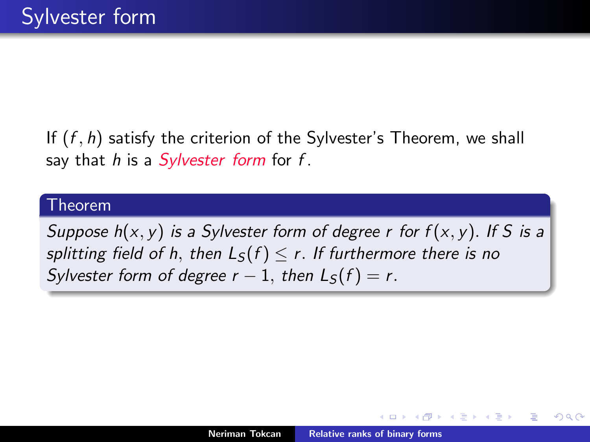If (*f , h*) satisfy the criterion of the Sylvester's Theorem, we shall say that *h* is a *Sylvester form* for *f* .

#### Theorem

*Suppose h*(*x, y*) *is a Sylvester form of degree r for f* (*x, y*)*. If S is a splitting field of h, then*  $L_S(f) \leq r$ *. If furthermore there is no Sylvester form of degree*  $r - 1$ *, then*  $L_S(f) = r$ .

∽≏ດ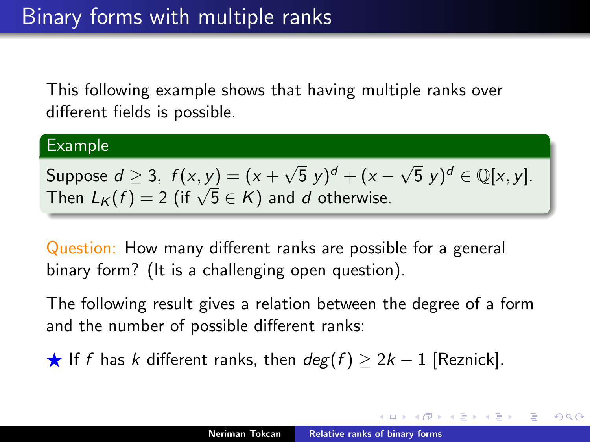This following example shows that having multiple ranks over different fields is possible.

#### Example

Suppose  $d > 3$ ,  $f(x, y) = (x + \sqrt{5} y)^d + (x - \sqrt{5} y)^d \in \mathbb{Q}[x, y]$ . Then  $L_K(f) = 2$  (if  $\sqrt{5} \in K$ ) and *d* otherwise.

Question: How many different ranks are possible for a general binary form? (It is a challenging open question).

The following result gives a relation between the degree of a form and the number of possible different ranks:

★ If *f* has *k* different ranks, then  $deg(f) \geq 2k - 1$  [Reznick].

メ御 トメミトメミト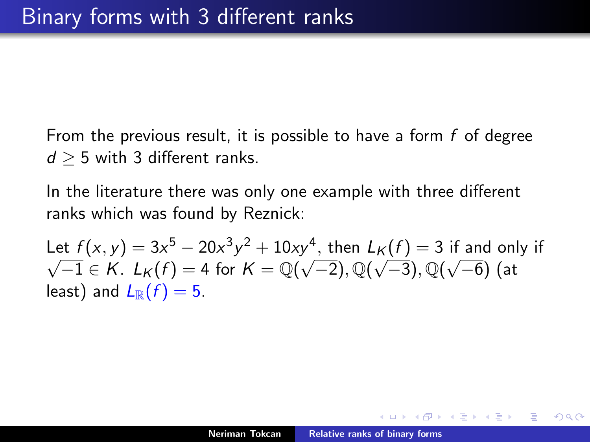From the previous result, it is possible to have a form *f* of degree  $d > 5$  with 3 different ranks.

In the literature there was only one example with three different ranks which was found by Reznick:

Let  $f(x, y) = 3x^5 - 20x^3y^2 + 10xy^4$ , then  $L_K(f) = 3$  if and only if  $\sqrt{-1} \in K$ .  $L_K(f) = 4$  for  $K = \mathbb{Q}(\sqrt{-2}), \mathbb{Q}(\sqrt{-3}), \mathbb{Q}(\sqrt{-6})$  (at least) and  $L_{\mathbb{R}}(f)=5$ .

メミメ メミメ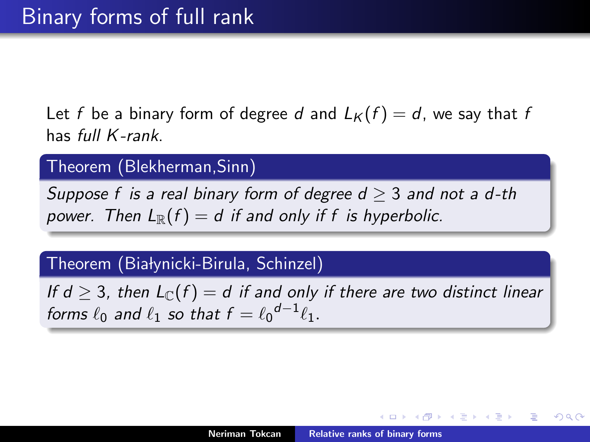Let *f* be a binary form of degree *d* and  $L_K(f) = d$ , we say that *f* has *full K -rank*.

Theorem (Blekherman,Sinn)

*Suppose f is a real binary form of degree*  $d \geq 3$  *and not a d-th power.* Then  $L_{\mathbb{R}}(f) = d$  if and only if f is hyperbolic.

### Theorem (Bialynicki-Birula, Schinzel)

*If d*  $\geq$  3, then  $L_{\mathbb{C}}(f) = d$  *if and only if there are two distinct linear forms*  $\ell_0$  *and*  $\ell_1$  *so that*  $f = \ell_0^{d-1} \ell_1$ *.* 

メロメ メ御 メメミメメミメ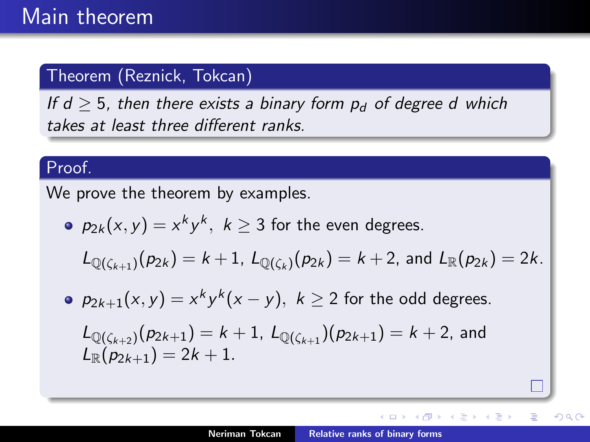## Theorem (Reznick, Tokcan)

*If d*  $>$  5*, then there exists a binary form*  $p_d$  *of degree d which takes at least three different ranks.* 

#### Proof.

We prove the theorem by examples.

• 
$$
p_{2k}(x, y) = x^k y^k
$$
,  $k \ge 3$  for the even degrees.

$$
L_{\mathbb{Q}(\zeta_{k+1})}(p_{2k})=k+1, L_{\mathbb{Q}(\zeta_k)}(p_{2k})=k+2, \text{ and } L_{\mathbb{R}}(p_{2k})=2k.
$$

• 
$$
p_{2k+1}(x, y) = x^k y^k (x - y), k \ge 2
$$
 for the odd degrees.

$$
L_{\mathbb{Q}(\zeta_{k+2})}(p_{2k+1}) = k + 1, L_{\mathbb{Q}(\zeta_{k+1})}(p_{2k+1}) = k + 2, \text{ and}
$$
  

$$
L_{\mathbb{R}}(p_{2k+1}) = 2k + 1.
$$

**K ロ ト K 倒 ト K 走 ト** 

∢ 重→

扂

つへへ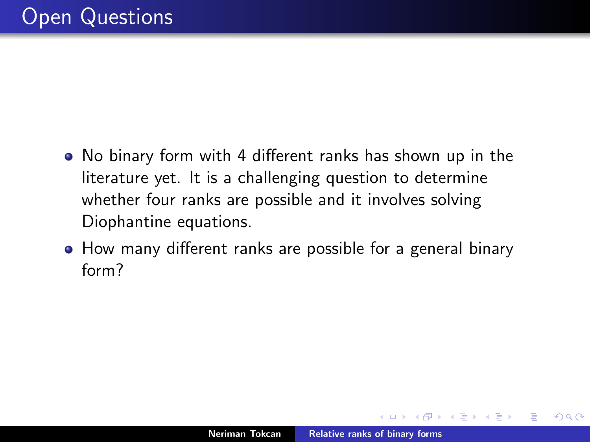- No binary form with 4 different ranks has shown up in the literature yet. It is a challenging question to determine whether four ranks are possible and it involves solving Diophantine equations.
- How many different ranks are possible for a general binary form?

つくい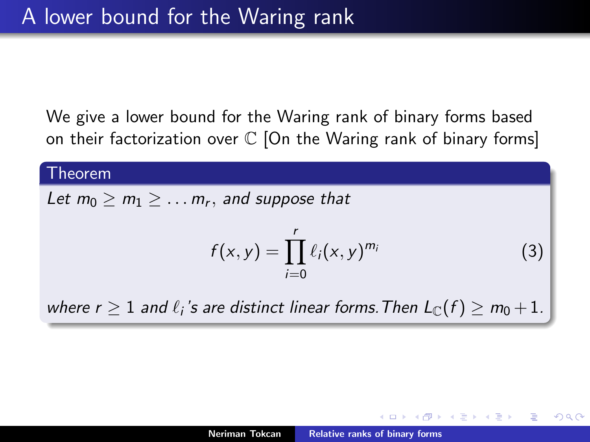We give a lower bound for the Waring rank of binary forms based on their factorization over  $\mathbb C$  [On the Waring rank of binary forms]

#### Theorem

Let  $m_0 \ge m_1 \ge \ldots m_r$ , and suppose that

$$
f(x, y) = \prod_{i=0}^{r} \ell_i(x, y)^{m_i}
$$
 (3)

つへへ

*where r*  $> 1$  *and*  $\ell_i$ 's are distinct linear forms. Then  $L_{\mathbb{C}}(f) > m_0 + 1$ .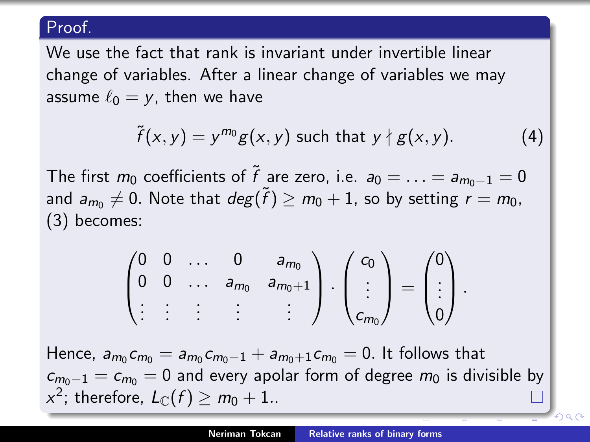### Proof.

We use the fact that rank is invariant under invertible linear change of variables. After a linear change of variables we may assume  $\ell_0 = v$ , then we have

$$
\tilde{f}(x,y) = y^{m_0}g(x,y) \text{ such that } y \nmid g(x,y). \tag{4}
$$

The first  $m_0$  coefficients of  $\tilde{f}$  are zero, i.e.  $a_0 = \ldots = a_{m_0-1} = 0$ and  $a_{m_0} \neq 0$ . Note that  $deg(\tilde{f}) \geq m_0 + 1$ , so by setting  $r = m_0$ , (3) becomes:

$$
\begin{pmatrix} 0 & 0 & \dots & 0 & a_{m_0} \\ 0 & 0 & \dots & a_{m_0} & a_{m_0+1} \\ \vdots & \vdots & \vdots & \vdots & \vdots \end{pmatrix} \cdot \begin{pmatrix} c_0 \\ \vdots \\ c_{m_0} \end{pmatrix} = \begin{pmatrix} 0 \\ \vdots \\ 0 \end{pmatrix}.
$$

Hence,  $a_{m_0} c_{m_0} = a_{m_0} c_{m_0-1} + a_{m_0+1} c_{m_0} = 0$ . It follows that  $c_{m_0-1} = c_{m_0} = 0$  and every apolar form of degree  $m_0$  is divisible by *x*<sup>2</sup>; therefore,  $L_{\text{C}}(f) > m_0 + 1$ ..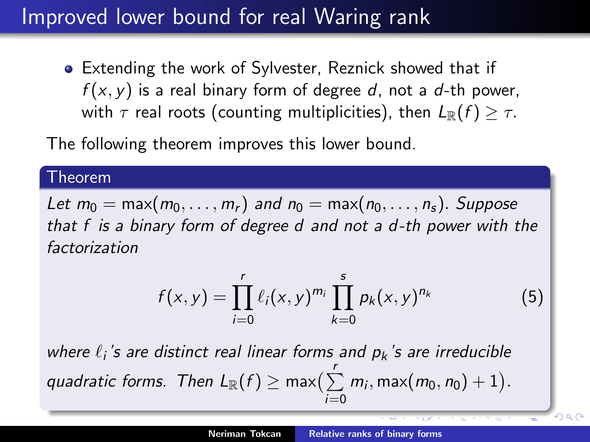# Improved lower bound for real Waring rank

Extending the work of Sylvester, Reznick showed that if *f* (*x, y*) is a real binary form of degree *d*, not a *d*-th power, with  $\tau$  real roots (counting multiplicities), then  $L_{\mathbb{R}}(f) \geq \tau$ .

The following theorem improves this lower bound.

#### Theorem

*Let*  $m_0 = \max(m_0, \ldots, m_r)$  *and*  $n_0 = \max(n_0, \ldots, n_s)$ *. Suppose that f is a binary form of degree d and not a d -th power with the factorization*

$$
f(x,y) = \prod_{i=0}^{r} \ell_i(x,y)^{m_i} \prod_{k=0}^{s} p_k(x,y)^{n_k}
$$
 (5)

 $\overline{1}$  $\overline{0}$ 

*where*  $\ell_i$ 's are distinct real linear forms and  $p_k$ 's are irreducible  $q$ *uadratic forms. Then*  $L_{\mathbb{R}}(f) \ge \max\bigl(\sum_{i=1}^r m_i, \max(m_0, n_0) + 1\bigr).$ *i*=0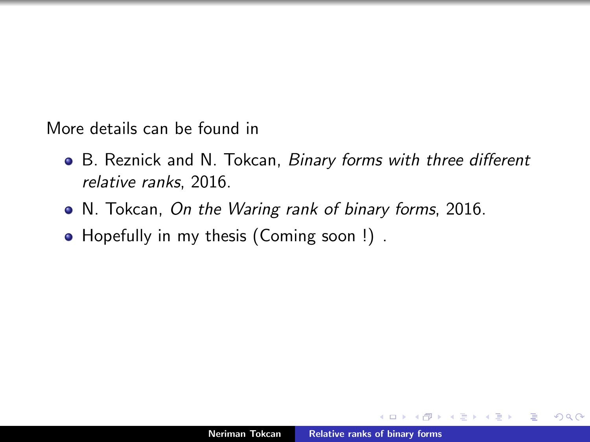More details can be found in

- **•** B. Reznick and N. Tokcan, *Binary forms with three different relative ranks*, 2016.
- N. Tokcan, *On the Waring rank of binary forms*, 2016.
- Hopefully in my thesis (Coming soon !).